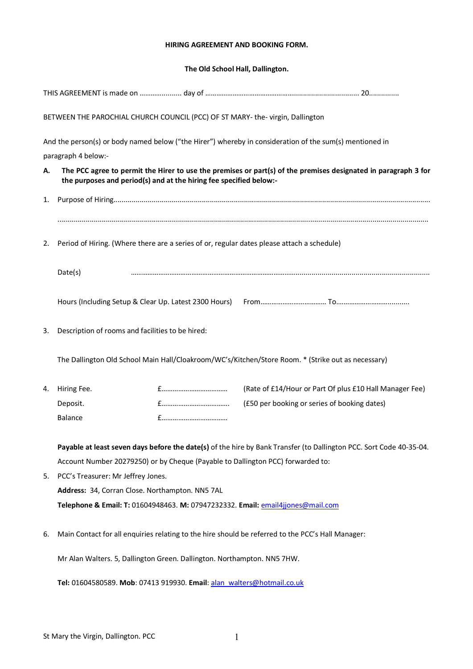### **HIRING AGREEMENT AND BOOKING FORM.**

## **The Old School Hall, Dallington.**

| BETWEEN THE PAROCHIAL CHURCH COUNCIL (PCC) OF ST MARY- the-virgin, Dallington                                                                                                              |                                    |                                                                                                                                                                                             |  |  |  |  |  |
|--------------------------------------------------------------------------------------------------------------------------------------------------------------------------------------------|------------------------------------|---------------------------------------------------------------------------------------------------------------------------------------------------------------------------------------------|--|--|--|--|--|
| And the person(s) or body named below ("the Hirer") whereby in consideration of the sum(s) mentioned in                                                                                    |                                    |                                                                                                                                                                                             |  |  |  |  |  |
|                                                                                                                                                                                            |                                    |                                                                                                                                                                                             |  |  |  |  |  |
| The PCC agree to permit the Hirer to use the premises or part(s) of the premises designated in paragraph 3 for<br>А.<br>the purposes and period(s) and at the hiring fee specified below:- |                                    |                                                                                                                                                                                             |  |  |  |  |  |
|                                                                                                                                                                                            |                                    |                                                                                                                                                                                             |  |  |  |  |  |
| Period of Hiring. (Where there are a series of or, regular dates please attach a schedule)<br>2.                                                                                           |                                    |                                                                                                                                                                                             |  |  |  |  |  |
| Date(s)                                                                                                                                                                                    |                                    |                                                                                                                                                                                             |  |  |  |  |  |
|                                                                                                                                                                                            |                                    |                                                                                                                                                                                             |  |  |  |  |  |
| Description of rooms and facilities to be hired:                                                                                                                                           |                                    |                                                                                                                                                                                             |  |  |  |  |  |
| The Dallington Old School Main Hall/Cloakroom/WC's/Kitchen/Store Room. * (Strike out as necessary)                                                                                         |                                    |                                                                                                                                                                                             |  |  |  |  |  |
| Hiring Fee.                                                                                                                                                                                |                                    | (Rate of £14/Hour or Part Of plus £10 Hall Manager Fee)                                                                                                                                     |  |  |  |  |  |
| Deposit.                                                                                                                                                                                   |                                    | (£50 per booking or series of booking dates)                                                                                                                                                |  |  |  |  |  |
| <b>Balance</b>                                                                                                                                                                             |                                    |                                                                                                                                                                                             |  |  |  |  |  |
| Payable at least seven days before the date(s) of the hire by Bank Transfer (to Dallington PCC. Sort Code 40-35-04.                                                                        |                                    |                                                                                                                                                                                             |  |  |  |  |  |
|                                                                                                                                                                                            |                                    |                                                                                                                                                                                             |  |  |  |  |  |
|                                                                                                                                                                                            | PCC's Treasurer: Mr Jeffrey Jones. |                                                                                                                                                                                             |  |  |  |  |  |
|                                                                                                                                                                                            |                                    |                                                                                                                                                                                             |  |  |  |  |  |
| Telephone & Email: T: 01604948463. M: 07947232332. Email: email4jjones@mail.com                                                                                                            |                                    |                                                                                                                                                                                             |  |  |  |  |  |
| Main Contact for all enquiries relating to the hire should be referred to the PCC's Hall Manager:                                                                                          |                                    |                                                                                                                                                                                             |  |  |  |  |  |
| Mr Alan Walters. 5, Dallington Green. Dallington. Northampton. NN5 7HW.                                                                                                                    |                                    |                                                                                                                                                                                             |  |  |  |  |  |
| Tel: 01604580589. Mob: 07413 919930. Email: alan walters@hotmail.co.uk                                                                                                                     |                                    |                                                                                                                                                                                             |  |  |  |  |  |
|                                                                                                                                                                                            | paragraph 4 below:-                | Hours (Including Setup & Clear Up. Latest 2300 Hours)<br>Account Number 20279250) or by Cheque (Payable to Dallington PCC) forwarded to:<br>Address: 34, Corran Close. Northampton. NN5 7AL |  |  |  |  |  |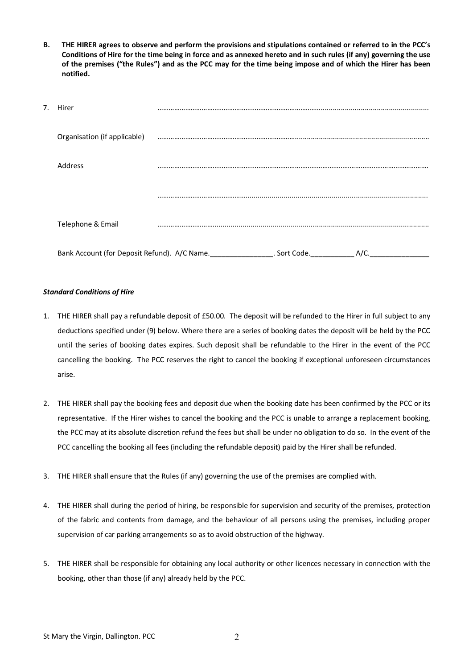**B. THE HIRER agrees to observe and perform the provisions and stipulations contained or referred to in the PCC's Conditions of Hire for the time being in force and as annexed hereto and in such rules (if any) governing the use of the premises ("the Rules") and as the PCC may for the time being impose and of which the Hirer has been notified.**

| 7. | Hirer                                        |              |      |
|----|----------------------------------------------|--------------|------|
|    | Organisation (if applicable)                 |              |      |
|    | Address                                      |              |      |
|    |                                              |              |      |
|    | Telephone & Email                            |              |      |
|    | Bank Account (for Deposit Refund). A/C Name. | . Sort Code. | A/C. |

### *Standard Conditions of Hire*

- 1. THE HIRER shall pay a refundable deposit of £50.00. The deposit will be refunded to the Hirer in full subject to any deductions specified under (9) below. Where there are a series of booking dates the deposit will be held by the PCC until the series of booking dates expires. Such deposit shall be refundable to the Hirer in the event of the PCC cancelling the booking. The PCC reserves the right to cancel the booking if exceptional unforeseen circumstances arise.
- 2. THE HIRER shall pay the booking fees and deposit due when the booking date has been confirmed by the PCC or its representative. If the Hirer wishes to cancel the booking and the PCC is unable to arrange a replacement booking, the PCC may at its absolute discretion refund the fees but shall be under no obligation to do so. In the event of the PCC cancelling the booking all fees (including the refundable deposit) paid by the Hirer shall be refunded.
- 3. THE HIRER shall ensure that the Rules (if any) governing the use of the premises are complied with.
- 4. THE HIRER shall during the period of hiring, be responsible for supervision and security of the premises, protection of the fabric and contents from damage, and the behaviour of all persons using the premises, including proper supervision of car parking arrangements so as to avoid obstruction of the highway.
- 5. THE HIRER shall be responsible for obtaining any local authority or other licences necessary in connection with the booking, other than those (if any) already held by the PCC.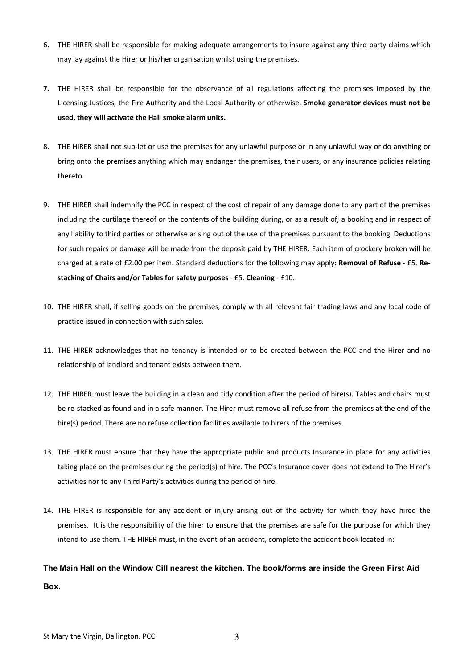- 6. THE HIRER shall be responsible for making adequate arrangements to insure against any third party claims which may lay against the Hirer or his/her organisation whilst using the premises.
- **7.** THE HIRER shall be responsible for the observance of all regulations affecting the premises imposed by the Licensing Justices, the Fire Authority and the Local Authority or otherwise. **Smoke generator devices must not be used, they will activate the Hall smoke alarm units.**
- 8. THE HIRER shall not sub-let or use the premises for any unlawful purpose or in any unlawful way or do anything or bring onto the premises anything which may endanger the premises, their users, or any insurance policies relating thereto.
- 9. THE HIRER shall indemnify the PCC in respect of the cost of repair of any damage done to any part of the premises including the curtilage thereof or the contents of the building during, or as a result of, a booking and in respect of any liability to third parties or otherwise arising out of the use of the premises pursuant to the booking. Deductions for such repairs or damage will be made from the deposit paid by THE HIRER. Each item of crockery broken will be charged at a rate of £2.00 per item. Standard deductions for the following may apply: **Removal of Refuse** - £5. **Restacking of Chairs and/or Tables for safety purposes** - £5. **Cleaning** - £10.
- 10. THE HIRER shall, if selling goods on the premises, comply with all relevant fair trading laws and any local code of practice issued in connection with such sales.
- 11. THE HIRER acknowledges that no tenancy is intended or to be created between the PCC and the Hirer and no relationship of landlord and tenant exists between them.
- 12. THE HIRER must leave the building in a clean and tidy condition after the period of hire(s). Tables and chairs must be re-stacked as found and in a safe manner. The Hirer must remove all refuse from the premises at the end of the hire(s) period. There are no refuse collection facilities available to hirers of the premises.
- 13. THE HIRER must ensure that they have the appropriate public and products Insurance in place for any activities taking place on the premises during the period(s) of hire. The PCC's Insurance cover does not extend to The Hirer's activities nor to any Third Party's activities during the period of hire.
- 14. THE HIRER is responsible for any accident or injury arising out of the activity for which they have hired the premises. It is the responsibility of the hirer to ensure that the premises are safe for the purpose for which they intend to use them. THE HIRER must, in the event of an accident, complete the accident book located in:

# **The Main Hall on the Window Cill nearest the kitchen. The book/forms are inside the Green First Aid Box.**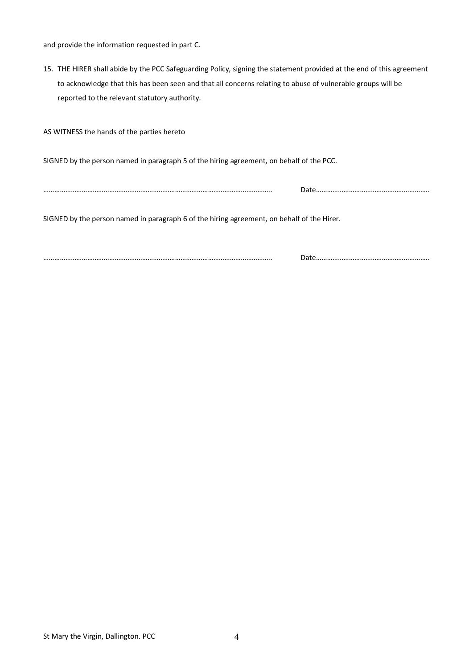and provide the information requested in part C.

15. THE HIRER shall abide by the PCC Safeguarding Policy, signing the statement provided at the end of this agreement to acknowledge that this has been seen and that all concerns relating to abuse of vulnerable groups will be reported to the relevant statutory authority.

AS WITNESS the hands of the parties hereto

SIGNED by the person named in paragraph 5 of the hiring agreement, on behalf of the PCC.

…………………………………………………………………………………………………………….. Date……………………………………………………..

SIGNED by the person named in paragraph 6 of the hiring agreement, on behalf of the Hirer.

…………………………………………………………………………………………………………….. Date……………………………………………………..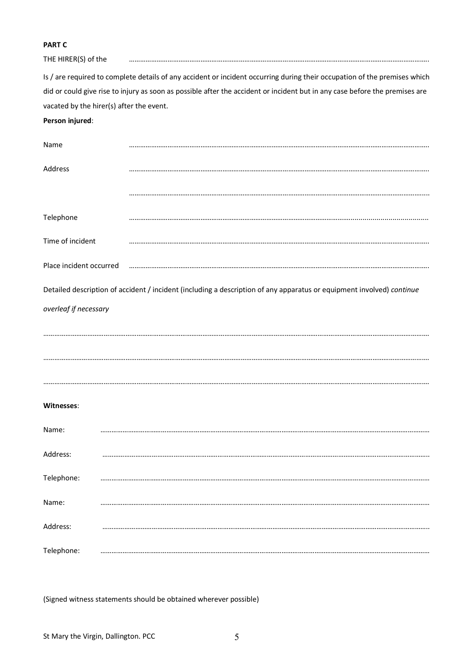## **PART C**

| THE HIRER(S) of the     |                                                                                                                             |
|-------------------------|-----------------------------------------------------------------------------------------------------------------------------|
|                         | Is / are required to complete details of any accident or incident occurring during their occupation of the premises which   |
|                         | did or could give rise to injury as soon as possible after the accident or incident but in any case before the premises are |
|                         | vacated by the hirer(s) after the event.                                                                                    |
| Person injured:         |                                                                                                                             |
| Name                    |                                                                                                                             |
| Address                 |                                                                                                                             |
|                         |                                                                                                                             |
| Telephone               |                                                                                                                             |
| Time of incident        |                                                                                                                             |
| Place incident occurred |                                                                                                                             |
|                         | Detailed description of accident / incident (including a description of any apparatus or equipment involved) continue       |
| overleaf if necessary   |                                                                                                                             |
|                         |                                                                                                                             |
|                         |                                                                                                                             |
|                         |                                                                                                                             |
|                         |                                                                                                                             |
|                         |                                                                                                                             |
| Witnesses:              |                                                                                                                             |
| Name:                   |                                                                                                                             |
| Address:                |                                                                                                                             |
| Telephone:              |                                                                                                                             |
| Name:                   |                                                                                                                             |
| Address:                |                                                                                                                             |
| Telephone:              |                                                                                                                             |

(Signed witness statements should be obtained wherever possible)